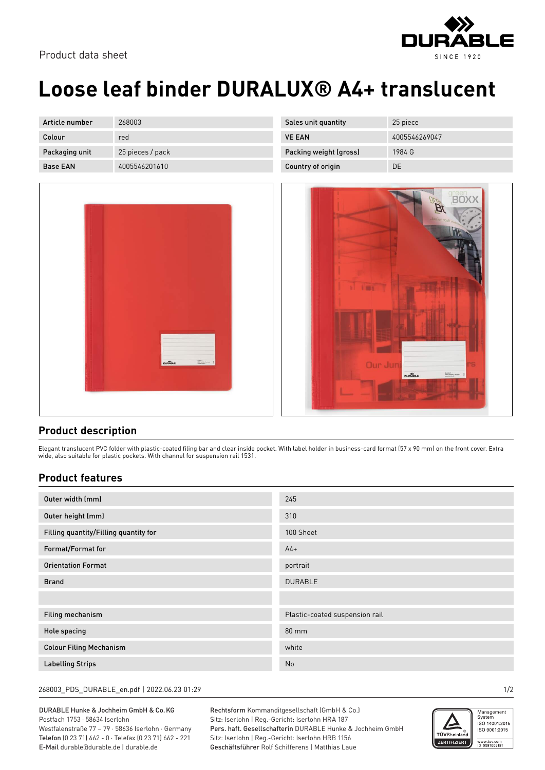

# **Loose leaf binder DURALUX® A4+ translucent**

| Article number  | 268003           | Sales unit quantity    | 25 piece      |
|-----------------|------------------|------------------------|---------------|
| Colour          | red              | <b>VE EAN</b>          | 4005546269047 |
| Packaging unit  | 25 pieces / pack | Packing weight (gross) | 1984 G        |
| <b>Base EAN</b> | 4005546201610    | Country of origin      | DE            |



| sound y or origin | ◡└                                                                                                                                                                        |
|-------------------|---------------------------------------------------------------------------------------------------------------------------------------------------------------------------|
|                   | <b>green</b><br><b>BOXX</b><br>$\boldsymbol{\beta}$<br>10 11 12<br>Junior staff many<br>ø<br>Fill<br><b>A</b> THE                                                         |
|                   | Our Junj<br><b>rs</b>                                                                                                                                                     |
|                   | $\begin{array}{l} 0.044013\\ 0.0313\\ \text{weakness} \end{array} \begin{array}{ll} 0.00000000\\ 0.0000000000000000\\ \text{weakness} \end{array}$<br><b>DURABLE</b><br>ŧ |

### **Product description**

Elegant translucent PVC folder with plastic-coated filing bar and clear inside pocket. With label holder in business-card format (57 x 90 mm) on the front cover. Extra wide, also suitable for plastic pockets. With channel for suspension rail 1531.

### **Product features**

| Outer width (mm)                      | 245                            |
|---------------------------------------|--------------------------------|
| Outer height (mm)                     | 310                            |
| Filling quantity/Filling quantity for | 100 Sheet                      |
| Format/Format for                     | $A4+$                          |
| <b>Orientation Format</b>             | portrait                       |
| <b>Brand</b>                          | <b>DURABLE</b>                 |
|                                       |                                |
| Filing mechanism                      | Plastic-coated suspension rail |
| Hole spacing                          | 80 mm                          |
| <b>Colour Filing Mechanism</b>        | white                          |
| <b>Labelling Strips</b>               | No                             |

#### 268003\_PDS\_DURABLE\_en.pdf | 2022.06.23 01:29 1/2

DURABLE Hunke & Jochheim GmbH & Co.KG Postfach 1753 · 58634 Iserlohn Westfalenstraße 77 – 79 · 58636 Iserlohn · Germany Telefon (0 23 71) 662 - 0 · Telefax (0 23 71) 662 - 221 E-Mail durable@durable.de | durable.de

Rechtsform Kommanditgesellschaft (GmbH & Co.) Sitz: Iserlohn | Reg.-Gericht: Iserlohn HRA 187 Pers. haft. Gesellschafterin DURABLE Hunke & Jochheim GmbH Sitz: Iserlohn | Reg.-Gericht: Iserlohn HRB 1156 Geschäftsführer Rolf Schifferens | Matthias Laue